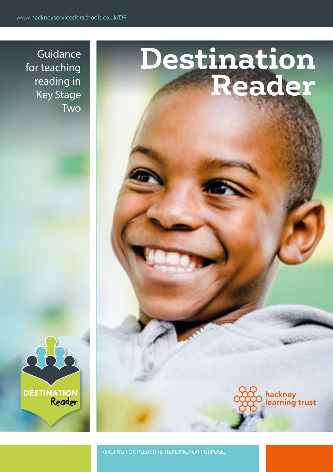Guidance for teaching reading in Key Stage Two

# **DESTINATION**

# **Destination Reader**

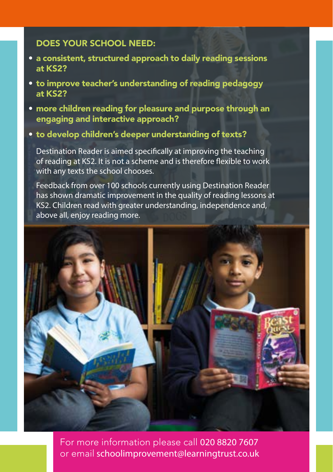# DOES YOUR SCHOOL NEED:

- a consistent, structured approach to daily reading sessions at KS2?
- to improve teacher's understanding of reading pedagogy at KS2?
- more children reading for pleasure and purpose through an engaging and interactive approach?
- to develop children's deeper understanding of texts?

Destination Reader is aimed specifically at improving the teaching of reading at KS2. It is not a scheme and is therefore flexible to work with any texts the school chooses.

Feedback from over 100 schools currently using Destination Reader has shown dramatic improvement in the quality of reading lessons at KS2. Children read with greater understanding, independence and, above all, enjoy reading more.



For more information please call 020 8820 7607 or email schoolimprovement@learningtrust.co.uk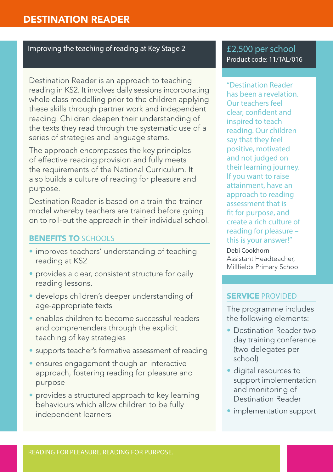## Improving the teaching of reading at Key Stage 2

Destination Reader is an approach to teaching reading in KS2. It involves daily sessions incorporating whole class modelling prior to the children applying these skills through partner work and independent reading. Children deepen their understanding of the texts they read through the systematic use of a series of strategies and language stems.

The approach encompasses the key principles of effective reading provision and fully meets the requirements of the National Curriculum. It also builds a culture of reading for pleasure and purpose.

Destination Reader is based on a train-the-trainer model whereby teachers are trained before going on to roll-out the approach in their individual school.

### BENEFITS TO SCHOOLS

- improves teachers' understanding of teaching reading at KS2
- provides a clear, consistent structure for daily reading lessons.
- develops children's deeper understanding of age-appropriate texts
- enables children to become successful readers and comprehenders through the explicit teaching of key strategies
- supports teacher's formative assessment of reading
- ensures engagement though an interactive approach, fostering reading for pleasure and purpose
- provides a structured approach to key learning behaviours which allow children to be fully independent learners

£2,500 per school Product code: 11/TAL/016

"Destination Reader has been a revelation. Our teachers feel clear, confident and inspired to teach reading. Our children say that they feel positive, motivated and not judged on their learning journey. If you want to raise attainment, have an approach to reading assessment that is fit for purpose, and create a rich culture of reading for pleasure – this is your answer!"

Debi Cookhorn Assistant Headteacher, Millfields Primary School

### SERVICE PROVIDED

The programme includes the following elements:

- Destination Reader two day training conference (two delegates per school)
- digital resources to support implementation and monitoring of Destination Reader
- implementation support